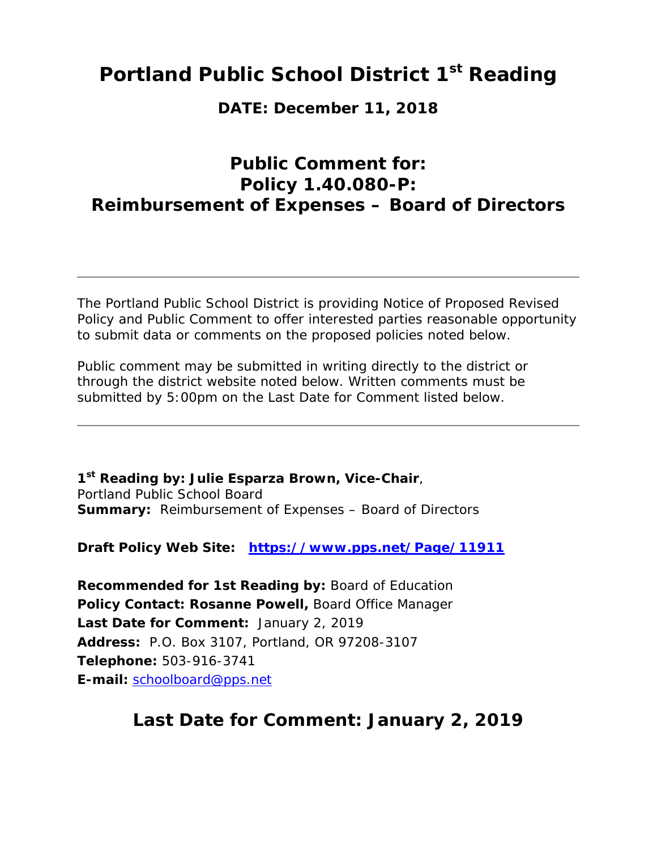### **Portland Public School District 1st Reading**

**DATE: December 11, 2018** 

### **Public Comment for: Policy 1.40.080-P: Reimbursement of Expenses – Board of Directors**

The Portland Public School District is providing Notice of Proposed Revised Policy and Public Comment to offer interested parties reasonable opportunity to submit data or comments on the proposed policies noted below.

Public comment may be submitted in writing directly to the district or through the district website noted below. Written comments must be submitted by 5:00pm on the Last Date for Comment listed below.

**1st Reading by: Julie Esparza Brown, Vice-Chair**, Portland Public School Board **Summary:** Reimbursement of Expenses – Board of Directors

**Draft Policy Web Site: https://www.pps.net/Page/11911**

**Recommended for 1st Reading by:** Board of Education **Policy Contact: Rosanne Powell,** Board Office Manager **Last Date for Comment:** January 2, 2019 **Address:** P.O. Box 3107, Portland, OR 97208-3107 **Telephone:** 503-916-3741 **E-mail:** schoolboard@pps.net

### **Last Date for Comment: January 2, 2019**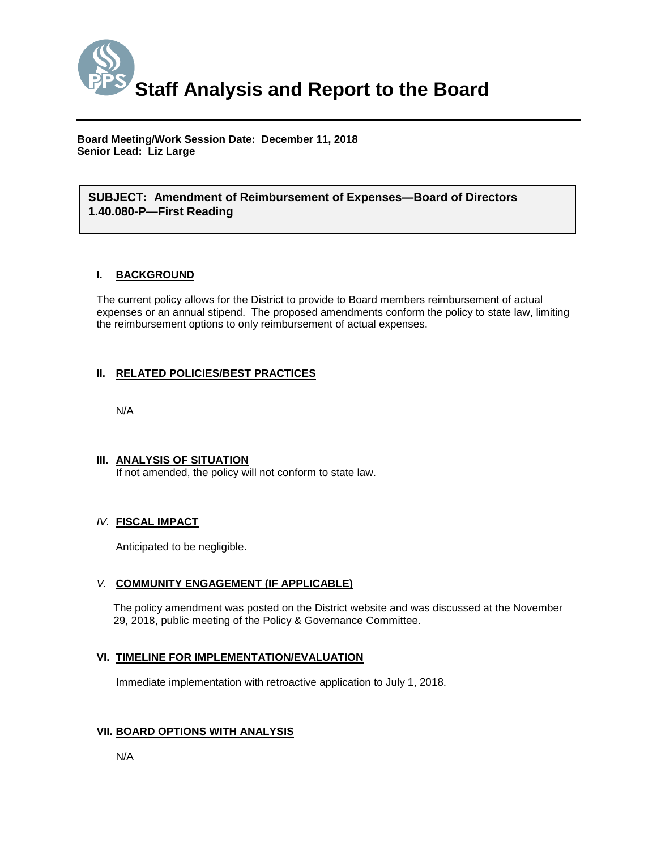

**Board Meeting/Work Session Date: December 11, 2018 Senior Lead: Liz Large**

#### *(Use this section to briefly explain the item—2-3 sentences)* **SUBJECT: Amendment of Reimbursement of Expenses—Board of Directors 1.40.080-P—First Reading**

#### **I. BACKGROUND**

The current policy allows for the District to provide to Board members reimbursement of actual expenses or an annual stipend. The proposed amendments conform the policy to state law, limiting the reimbursement options to only reimbursement of actual expenses.

#### **II. RELATED POLICIES/BEST PRACTICES**

N/A

#### **III. ANALYSIS OF SITUATION** If not amended, the policy will not conform to state law.

#### *IV.* **FISCAL IMPACT**

Anticipated to be negligible.

#### *V.* **COMMUNITY ENGAGEMENT (IF APPLICABLE)**

The policy amendment was posted on the District website and was discussed at the November 29, 2018, public meeting of the Policy & Governance Committee.

#### **VI. TIMELINE FOR IMPLEMENTATION/EVALUATION**

Immediate implementation with retroactive application to July 1, 2018.

#### **VII. BOARD OPTIONS WITH ANALYSIS**

N/A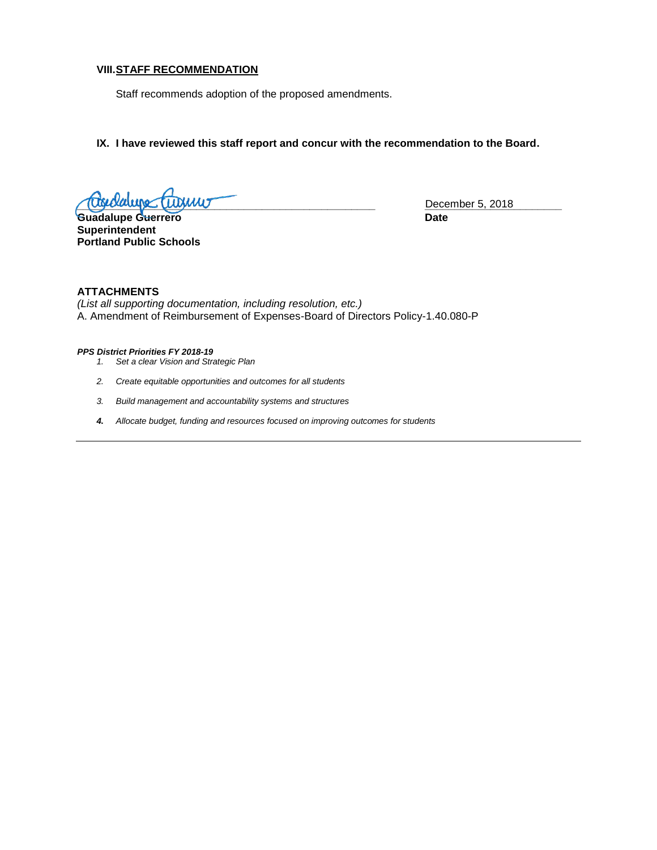#### **VIII.STAFF RECOMMENDATION**

Staff recommends adoption of the proposed amendments.

**IX. I have reviewed this staff report and concur with the recommendation to the Board.**

**Lugiolauge (Tuguur** 

Guadalupe Guerrero **Date Superintendent Portland Public Schools**

#### **ATTACHMENTS**

*(List all supporting documentation, including resolution, etc.)* A. Amendment of Reimbursement of Expenses-Board of Directors Policy-1.40.080-P

#### *PPS District Priorities FY 2018-19*

- *1. Set a clear Vision and Strategic Plan*
- *2. Create equitable opportunities and outcomes for all students*
- *3. Build management and accountability systems and structures*
- *4. Allocate budget, funding and resources focused on improving outcomes for students*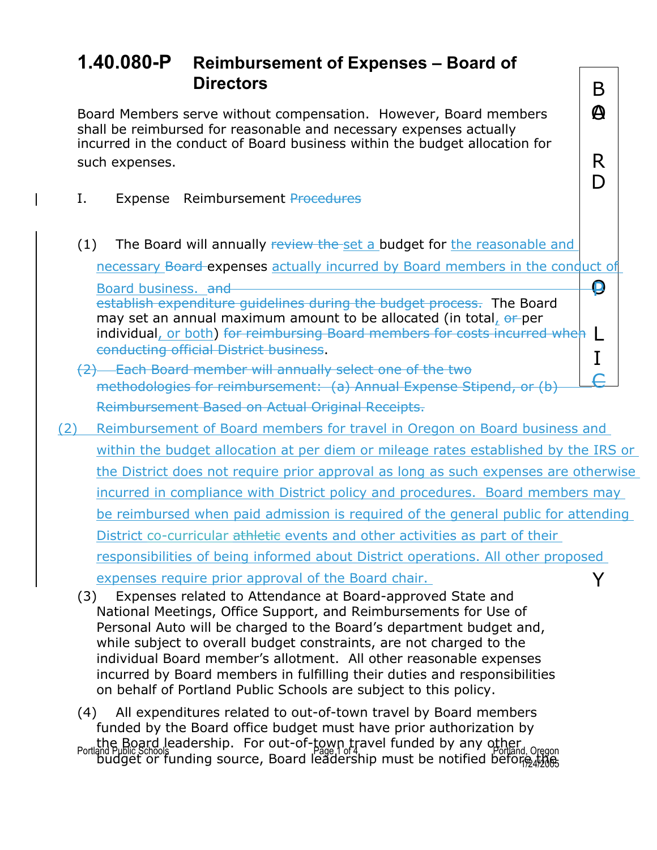$\boldsymbol{\varphi}$ 

D

## **1.40.080-P Reimbursement of Expenses – Board of Directors** B

Board Members serve without compensation. However, Board members shall be reimbursed for reasonable and necessary expenses actually incurred in the conduct of Board business within the budget allocation for such expenses.  $\parallel$  R

- I. Expense Reimbursement Procedures
- (1) The Board will annually review the set a budget for the reasonable and

necessary Board expenses actually incurred by Board members in the conduct of

O Board business. and Police and Police and Police and Police and Police and Police and Police and Police and Po establish expenditure guidelines during the budget process. The Board may set an annual maximum amount to be allocated (in total, or per individual, or both) for reimbursing Board members for costs incurred when  $\mathsf{L}\overline{ }$ 

- conducting official District business.<br>(2) Each Board member will annually select one of the two  $\begin{bmatrix} 1 \end{bmatrix}$ methodologies for reimbursement: (a) Annual Expense Stipend, or (b) Reimbursement Based on Actual Original Receipts.
- (2) Reimbursement of Board members for travel in Oregon on Board business and within the budget allocation at per diem or mileage rates established by the IRS or the District does not require prior approval as long as such expenses are otherwise incurred in compliance with District policy and procedures. Board members may be reimbursed when paid admission is required of the general public for attending District co-curricular athletie events and other activities as part of their responsibilities of being informed about District operations. All other proposed expenses require prior approval of the Board chair.  $\forall$ 
	- (3) Expenses related to Attendance at Board-approved State and National Meetings, Office Support, and Reimbursements for Use of Personal Auto will be charged to the Board's department budget and, while subject to overall budget constraints, are not charged to the individual Board member's allotment. All other reasonable expenses incurred by Board members in fulfilling their duties and responsibilities on behalf of Portland Public Schools are subject to this policy.

Portland Public Schools Page 1 of 4 Page 1 of 4 Page 1 of 4 Page 1 of 4 Page 1 of 4 Portland, Oregon 1/24/2005 (4) All expenditures related to out-of-town travel by Board members funded by the Board office budget must have prior authorization by the Board leadership. For out-of-town travel funded by any other budget or funding source, Board leadership must be notified before the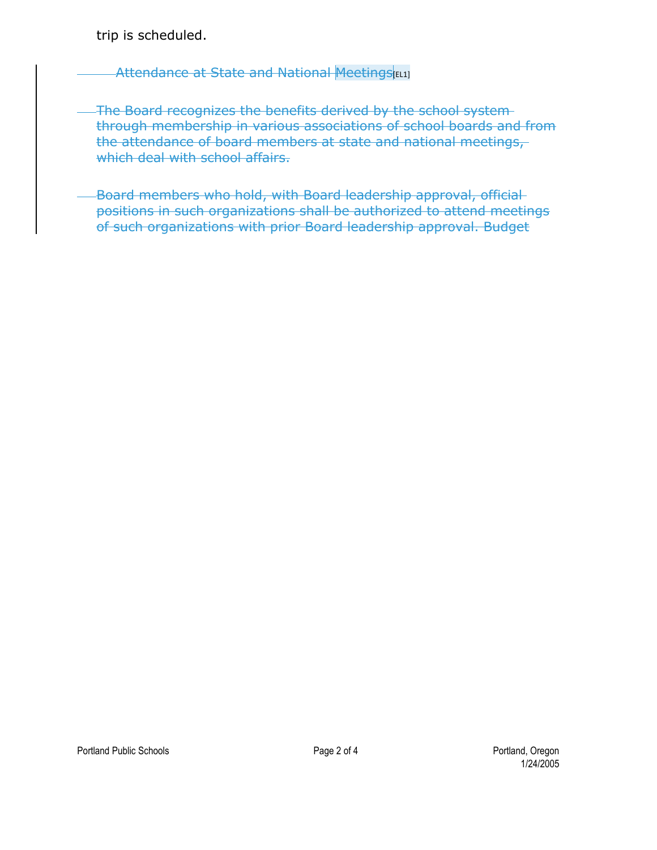trip is scheduled.

Attendance at State and National Meetings [EL1]

- The Board recognizes the benefits derived by the school systemthrough membership in various associations of school boards and from the attendance of board members at state and national meetings, which deal with school affairs.
- -Board members who hold, with Board leadership approval, officialpositions in such organizations shall be authorized to attend meetings of such organizations with prior Board leadership approval. Budget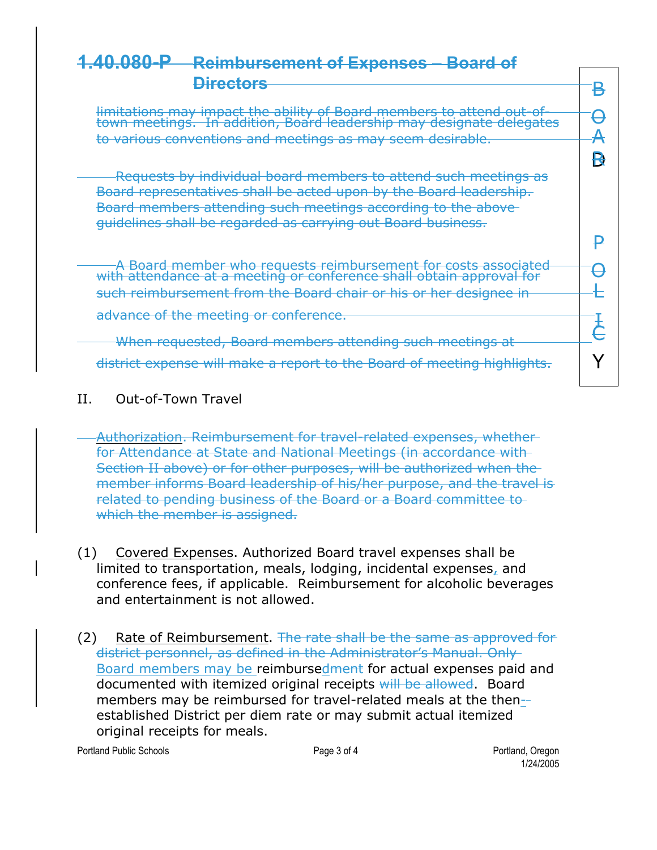$\mathbf{P}$ 

# **1.40.080-P Reimbursement of Expenses – Board of Directors** B

D R limitations may impact the ability of Board<br>town meetings. In addition, Board leaders leadership members may designate to attend delegates out-of- O to various conventions and meetings as may seem desirable.  $A$ 

Requests by individual board members to attend such meetings as Board representatives shall be acted upon by the Board leadership. Board members attending such meetings according to the above guidelines shall be regarded as carrying out Board business.

with A attendanc Board member e at a who requests<br>meeting or co r nference eimbursemen shall t obtain for cost approval <mark>s associa</mark>t  $\begin{array}{c|c} \text{ated} & \text{\ } \Theta \end{array}$ such reimbursement from the Board chair or his or her designee in L advance of the meeting or conference.<br>
Here we were also a parallel as well we attend in a web weather a the set When requested, Board members attending such meetings at

district expense will make a report to the Board of meeting highlights.  $\mathsf{Y}$ 

### II. Out-of-Town Travel

Authorization. Reimbursement for travel-related expenses, whether for Attendance at State and National Meetings (in accordance with Section II above) or for other purposes, will be authorized when the member informs Board leadership of his/her purpose, and the travel is related to pending business of the Board or a Board committee to which the member is assigned.

- (1) Covered Expenses. Authorized Board travel expenses shall be limited to transportation, meals, lodging, incidental expenses, and conference fees, if applicable. Reimbursement for alcoholic beverages and entertainment is not allowed.
- (2) Rate of Reimbursement. The rate shall be the same as approved for district personnel, as defined in the Administrator's Manual. Only Board members may be reimbursedment for actual expenses paid and documented with itemized original receipts will be allowed. Board members may be reimbursed for travel-related meals at the thenestablished District per diem rate or may submit actual itemized original receipts for meals.

Portland Public Schools **Page 3 of 4** Portland Public Schools **Page 3 of 4** Portland, Oregon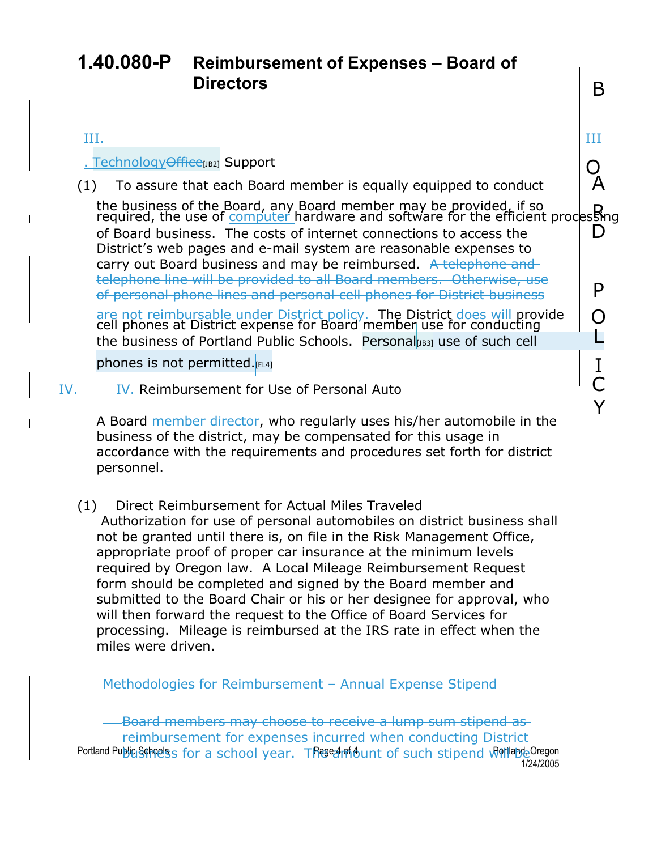Y

# **1.40.080-P Reimbursement of Expenses – Board of Directors** B

#### III. III

 $\frac{1}{1}$  TechnologyOffice<sub>[JB2]</sub> Support<br>1) To assure that each Board member is equally equipped to conduct  $\begin{bmatrix} 0 & 0 \\ 0 & 0 \end{bmatrix}$ (1) To assure that each Board member is equally equipped to conduct A

the business of the Board, any Board member may be provided, if so https://<br>required, the use of computer hardware and software for the efficient processing of Board business. The costs of internet connections to access the  $\hskip10mm \Box$ District's web pages and e-mail system are reasonable expenses to carry out Board business and may be reimbursed. A telephone and telephone line will be provided to all Board members. Otherwise, use of personal phone lines and personal cell phones for District business **P** ar e no t reimbursabl e unde r Distric <del>t\_policy.</del> The Distric r use for conducting <sup>t</sup> does will provide O

cel l phone s at Distri ct expens e for Board memb e the business of Portland Public Schools. Personal  $\log_3$  use of such cell Lettle L

phones is not permitted. $_{\tiny{\textsf{[EL4]}}}$  is a set of  $\blacksquare$  is a set of  $\blacksquare$ 

IV. IV. Reimbursement for Use of Personal Auto

A Board-member director, who regularly uses his/her automobile in the business of the district, may be compensated for this usage in accordance with the requirements and procedures set forth for district personnel.

(1) Direct Reimbursement for Actual Miles Traveled

Authorization for use of personal automobiles on district business shall not be granted until there is, on file in the Risk Management Office, appropriate proof of proper car insurance at the minimum levels required by Oregon law. A Local Mileage Reimbursement Request form should be completed and signed by the Board member and submitted to the Board Chair or his or her designee for approval, who will then forward the request to the Office of Board Services for processing. Mileage is reimbursed at the IRS rate in effect when the miles were driven.

Methodologies for Reimbursement – Annual Expense Stipend

Portland Public Schools for a school year. The earth of such stipend will apple Oregon 1/24/2005 Board members may choose to receive a lump sum stipend as reimbursement for expenses incurred when conducting District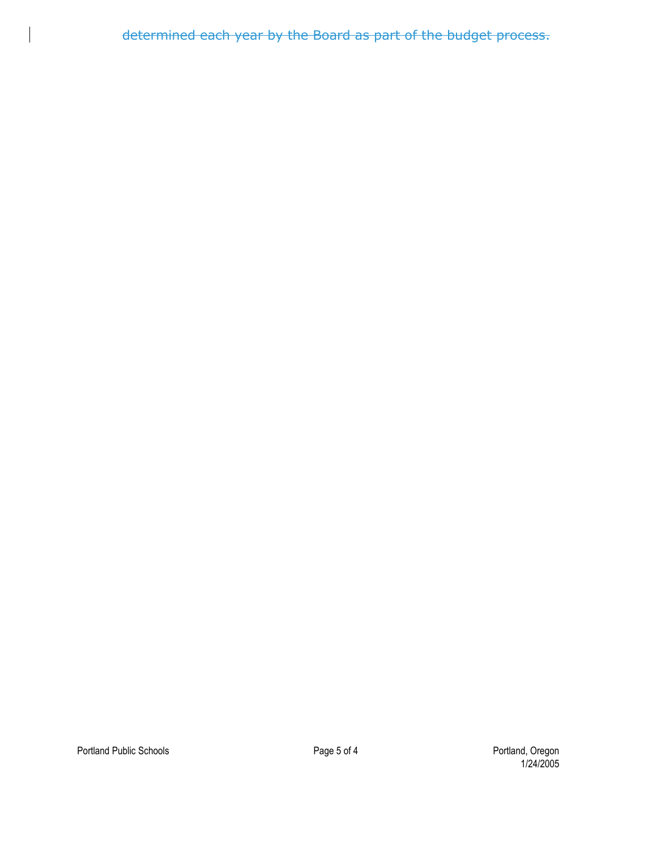determined each year by the Board as part of the budget process.